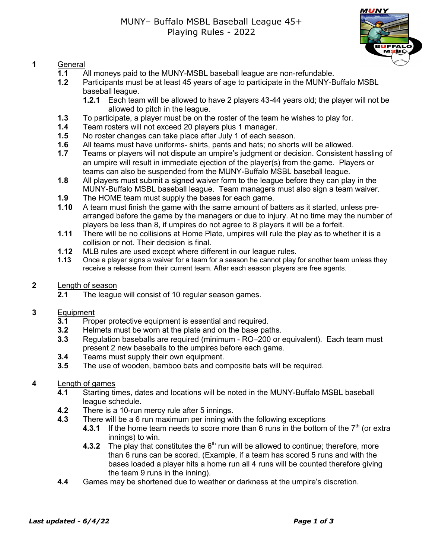

### **1** General

- **1.1** All moneys paid to the MUNY-MSBL baseball league are non-refundable.
- **1.2** Participants must be at least 45 years of age to participate in the MUNY-Buffalo MSBL baseball league.
	- **1.2.1** Each team will be allowed to have 2 players 43-44 years old; the player will not be allowed to pitch in the league.
- **1.3** To participate, a player must be on the roster of the team he wishes to play for.
- **1.4** Team rosters will not exceed 20 players plus 1 manager.
- **1.5** No roster changes can take place after July 1 of each season.
- **1.6** All teams must have uniforms- shirts, pants and hats; no shorts will be allowed.
- **1.7** Teams or players will not dispute an umpire's judgment or decision. Consistent hassling of an umpire will result in immediate ejection of the player(s) from the game. Players or teams can also be suspended from the MUNY-Buffalo MSBL baseball league.
- **1.8** All players must submit a signed waiver form to the league before they can play in the MUNY-Buffalo MSBL baseball league. Team managers must also sign a team waiver.
- **1.9** The HOME team must supply the bases for each game.
- **1.10** A team must finish the game with the same amount of batters as it started, unless prearranged before the game by the managers or due to injury. At no time may the number of players be less than 8, if umpires do not agree to 8 players it will be a forfeit.
- **1.11** There will be no collisions at Home Plate, umpires will rule the play as to whether it is a collision or not. Their decision is final.
- **1.12** MLB rules are used except where different in our league rules.<br>**1.13** Once a player signs a waiver for a team for a season he cannot play
- **1.13** Once a player signs a waiver for a team for a season he cannot play for another team unless they receive a release from their current team. After each season players are free agents.
- **2** Length of season
	- **2.1** The league will consist of 10 regular season games.

### **3** Equipment

- **3.1** Proper protective equipment is essential and required.
- **3.2** Helmets must be worn at the plate and on the base paths.
- **3.3** Regulation baseballs are required (minimum RO–200 or equivalent). Each team must present 2 new baseballs to the umpires before each game.
- **3.4** Teams must supply their own equipment.
- **3.5** The use of wooden, bamboo bats and composite bats will be required.

### **4** Length of games

- **4.1** Starting times, dates and locations will be noted in the MUNY-Buffalo MSBL baseball league schedule.
- **4.2** There is a 10-run mercy rule after 5 innings.
- **4.3** There will be a 6 run maximum per inning with the following exceptions
	- **4.3.1** If the home team needs to score more than 6 runs in the bottom of the  $7<sup>th</sup>$  (or extra innings) to win.
	- **4.3.2** The play that constitutes the  $6<sup>th</sup>$  run will be allowed to continue; therefore, more than 6 runs can be scored. (Example, if a team has scored 5 runs and with the bases loaded a player hits a home run all 4 runs will be counted therefore giving the team 9 runs in the inning).
- **4.4** Games may be shortened due to weather or darkness at the umpire's discretion.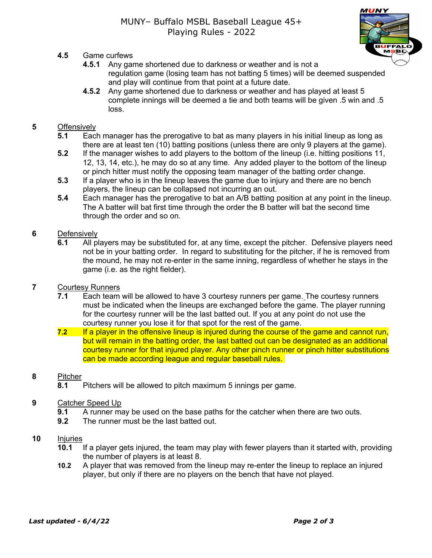- **4.5** Game curfews
	- **4.5.1** Any game shortened due to darkness or weather and is not a regulation game (losing team has not batting 5 times) will be deemed suspended and play will continue from that point at a future date.
	- **4.5.2** Any game shortened due to darkness or weather and has played at least 5 complete innings will be deemed a tie and both teams will be given .5 win and .5 loss.

## **5** Offensively

- **5.1** Each manager has the prerogative to bat as many players in his initial lineup as long as there are at least ten (10) batting positions (unless there are only 9 players at the game).
- **5.2** If the manager wishes to add players to the bottom of the lineup (i.e. hitting positions 11, 12, 13, 14, etc.), he may do so at any time. Any added player to the bottom of the lineup or pinch hitter must notify the opposing team manager of the batting order change.
- **5.3** If a player who is in the lineup leaves the game due to injury and there are no bench players, the lineup can be collapsed not incurring an out.
- **5.4** Each manager has the prerogative to bat an A/B batting position at any point in the lineup. The A batter will bat first time through the order the B batter will bat the second time through the order and so on.

## **6** Defensively

**6.1** All players may be substituted for, at any time, except the pitcher. Defensive players need not be in your batting order. In regard to substituting for the pitcher, if he is removed from the mound, he may not re-enter in the same inning, regardless of whether he stays in the game (i.e. as the right fielder).

# **7** Courtesy Runners

- **7.1** Each team will be allowed to have 3 courtesy runners per game. The courtesy runners must be indicated when the lineups are exchanged before the game. The player running for the courtesy runner will be the last batted out. If you at any point do not use the courtesy runner you lose it for that spot for the rest of the game.
- **7.2** If a player in the offensive lineup is injured during the course of the game and cannot run, but will remain in the batting order, the last batted out can be designated as an additional courtesy runner for that injured player. Any other pinch runner or pinch hitter substitutions can be made according league and regular baseball rules.

## **8** Pitcher

**8.1** Pitchers will be allowed to pitch maximum 5 innings per game.

# **9** Catcher Speed Up

- **9.1** A runner may be used on the base paths for the catcher when there are two outs.
- **9.2** The runner must be the last batted out.

## **10** Injuries

- **10.1** If a player gets injured, the team may play with fewer players than it started with, providing the number of players is at least 8.
- **10.2** A player that was removed from the lineup may re-enter the lineup to replace an injured player, but only if there are no players on the bench that have not played.